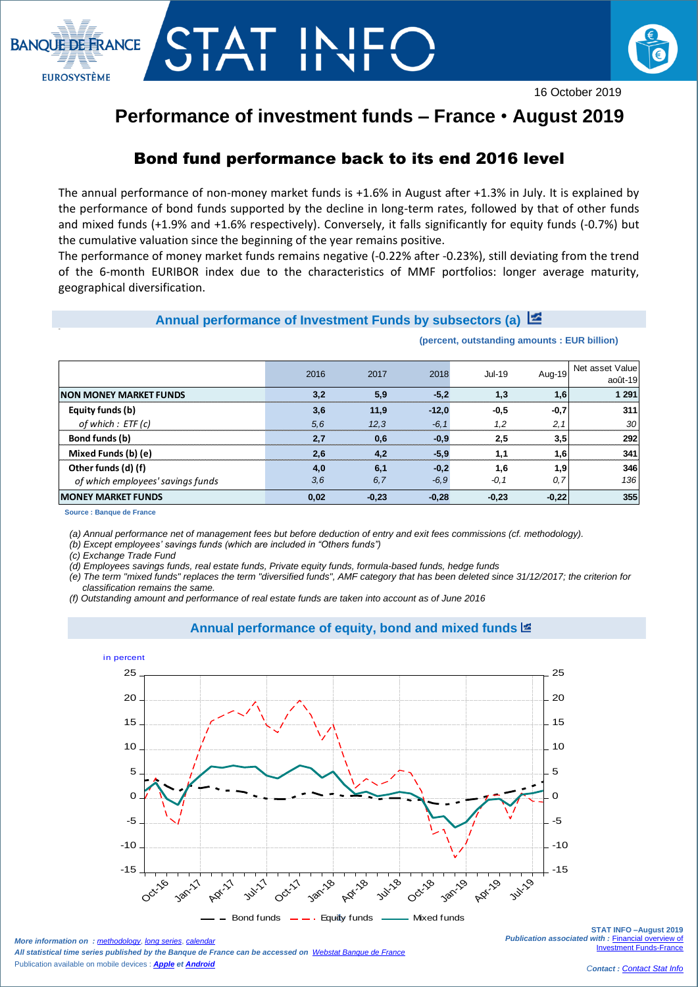



16 October 2019

## **Performance of investment funds – France** • **August 2019**

### Bond fund performance back to its end 2016 level

The annual performance of non-money market funds is +1.6% in August after +1.3% in July. It is explained by the performance of bond funds supported by the decline in long-term rates, followed by that of other funds and mixed funds (+1.9% and +1.6% respectively). Conversely, it falls significantly for equity funds (-0.7%) but the cumulative valuation since the beginning of the year remains positive.

The performance of money market funds remains negative (-0.22% after -0.23%), still deviating from the trend of the 6-month EURIBOR index due to the characteristics of MMF portfolios: longer average maturity, geographical diversification.

#### **Annual performance of Investment Funds by subsectors (a)**

|                                   | 2016 | 2017    | 2018    | $Jul-19$ |         | Aug-19 Net asset Value<br>août-19 |
|-----------------------------------|------|---------|---------|----------|---------|-----------------------------------|
| <b>NON MONEY MARKET FUNDS</b>     | 3.2  | 5.9     | $-5.2$  | 1.3      | 1.6     | 1 2 9 1                           |
| Equity funds (b)                  | 3,6  | 11.9    | $-12.0$ | $-0.5$   | $-0,7$  | 311                               |
| of which : ETF (c)                | 5.6  | 12.3    | $-6.1$  | 1.2      | 2,1     | 30                                |
| Bond funds (b)                    | 2.7  | 0.6     | $-0.9$  | 2,5      | 3,5     | 292                               |
| Mixed Funds (b) (e)               | 2.6  | 4.2     | $-5,9$  |          | 1,6     | 341                               |
| Other funds (d) (f)               | 4,0  | 6,1     | $-0.2$  | 1.6      | 1,9     | 346                               |
| of which employees' savings funds | 3,6  | 6,7     | $-6,9$  | $-0, 1$  | 0,7     | 136                               |
| <b>IMONEY MARKET FUNDS</b>        | 0,02 | $-0,23$ | $-0,28$ | $-0,23$  | $-0,22$ | 355                               |

**(percent, outstanding amounts : EUR billion)**

**Source : Banque de France**

 $\overline{\phantom{a}}$ 

*(a) Annual performance net of management fees but before deduction of entry and exit fees commissions (cf. methodology).*

*(b) Except employees' savings funds (which are included in "Others funds")*

*(c) Exchange Trade Fund* 

*(d) Employees savings funds, real estate funds, Private equity funds, formula-based funds, hedge funds*

*(e) The term "mixed funds" replaces the term "diversified funds", AMF category that has been deleted since 31/12/2017; the criterion for classification remains the same.*

*(f) Outstanding amount and performance of real estate funds are taken into account as of June 2016*



#### **Annual performance of equity, bond and mixed funds**

*More information on : [methodology](https://www.banque-france.fr/en/node/21464), [long series](http://webstat.banque-france.fr/en/browse.do?node=5384218), [calendar](https://www.banque-france.fr/en/statistics/calendar)ry All statistical time series published by the Banque de France can be accessed on [Webstat Banque de France](http://webstat.banque-france.fr/en/)* Publication available on mobile devices : *[Apple](https://itunes.apple.com/fr/app/banquefrance/id663817914?mt=8) e[t Android](https://play.google.com/store/apps/details?id=fr.bdf.mobile&feature=search_result#?t=W251bGwsMSwyLDEsImZyLmJkZi5tb2JpbGUiXQ)*

**STAT INFO –August 2019** *Publication associated with :* [Financial overview of](https://www.banque-france.fr/en/node/4206)  Investment Funds-Franc